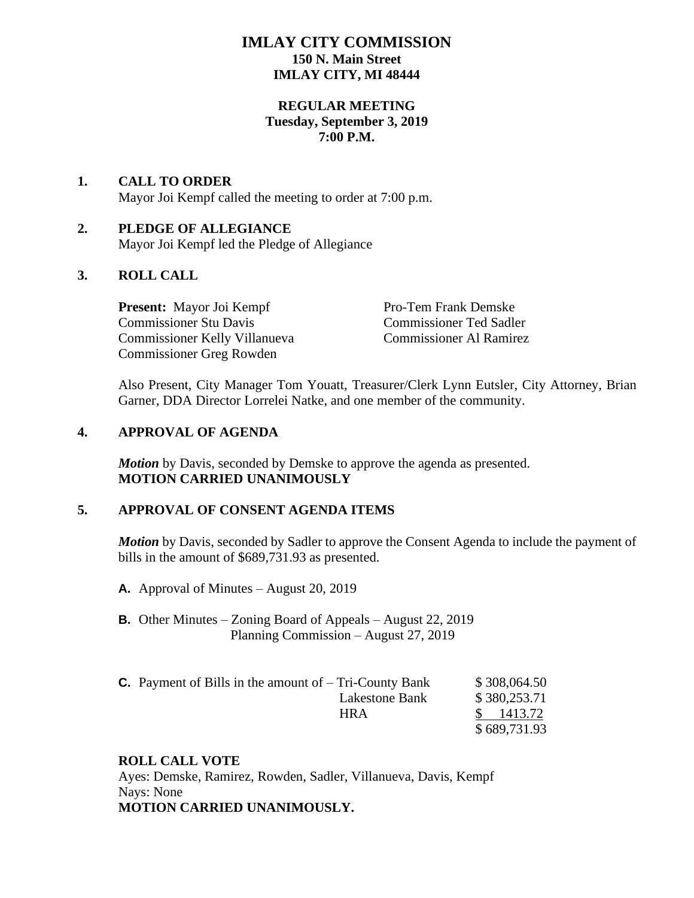# **IMLAY CITY COMMISSION 150 N. Main Street IMLAY CITY, MI 48444**

## **REGULAR MEETING Tuesday, September 3, 2019 7:00 P.M.**

## **1. CALL TO ORDER** Mayor Joi Kempf called the meeting to order at 7:00 p.m.

# **2. PLEDGE OF ALLEGIANCE**

Mayor Joi Kempf led the Pledge of Allegiance

# **3. ROLL CALL**

**Present:** Mayor Joi Kempf Pro-Tem Frank Demske Commissioner Stu Davis Commissioner Ted Sadler Commissioner Kelly Villanueva Commissioner Al Ramirez Commissioner Greg Rowden

Also Present, City Manager Tom Youatt, Treasurer/Clerk Lynn Eutsler, City Attorney, Brian Garner, DDA Director Lorrelei Natke, and one member of the community.

# **4. APPROVAL OF AGENDA**

*Motion* by Davis, seconded by Demske to approve the agenda as presented. **MOTION CARRIED UNANIMOUSLY**

# **5. APPROVAL OF CONSENT AGENDA ITEMS**

*Motion* by Davis, seconded by Sadler to approve the Consent Agenda to include the payment of bills in the amount of \$689,731.93 as presented.

- **A.** Approval of Minutes August 20, 2019
- **B.** Other Minutes Zoning Board of Appeals August 22, 2019 Planning Commission – August 27, 2019
- **C.** Payment of Bills in the amount of  $-$  Tri-County Bank  $$308,064.50$ Lakestone Bank \$ 380,253.71 HRA \$ 1413.72 \$ 689,731.93

# **ROLL CALL VOTE**

Ayes: Demske, Ramirez, Rowden, Sadler, Villanueva, Davis, Kempf Nays: None **MOTION CARRIED UNANIMOUSLY.**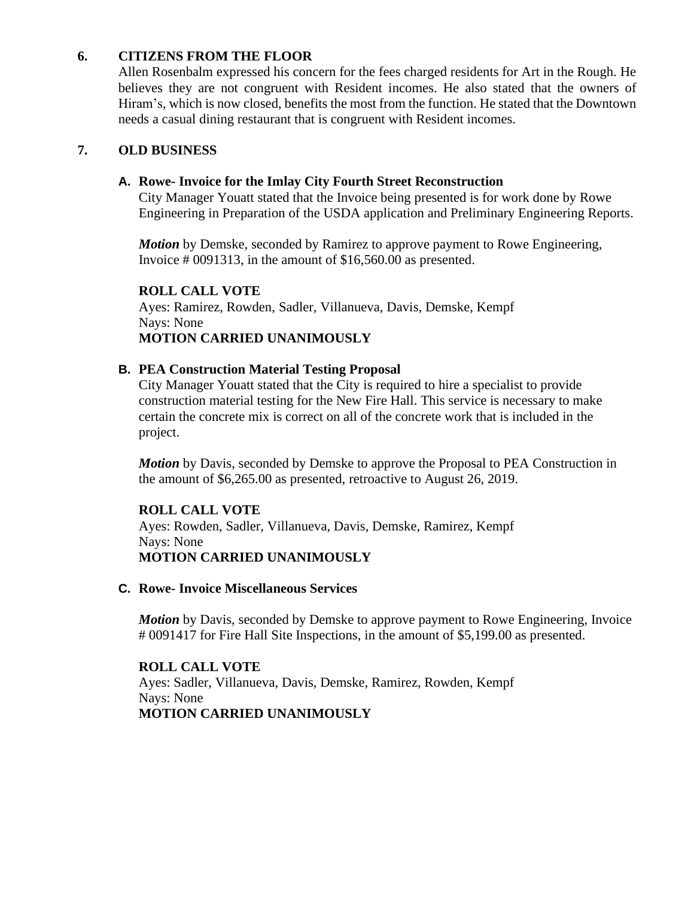# **6. CITIZENS FROM THE FLOOR**

Allen Rosenbalm expressed his concern for the fees charged residents for Art in the Rough. He believes they are not congruent with Resident incomes. He also stated that the owners of Hiram's, which is now closed, benefits the most from the function. He stated that the Downtown needs a casual dining restaurant that is congruent with Resident incomes.

# **7. OLD BUSINESS**

## **A. Rowe- Invoice for the Imlay City Fourth Street Reconstruction**

City Manager Youatt stated that the Invoice being presented is for work done by Rowe Engineering in Preparation of the USDA application and Preliminary Engineering Reports.

*Motion* by Demske, seconded by Ramirez to approve payment to Rowe Engineering, Invoice # 0091313, in the amount of \$16,560.00 as presented.

## **ROLL CALL VOTE**

Ayes: Ramirez, Rowden, Sadler, Villanueva, Davis, Demske, Kempf Nays: None **MOTION CARRIED UNANIMOUSLY**

#### **B. PEA Construction Material Testing Proposal**

City Manager Youatt stated that the City is required to hire a specialist to provide construction material testing for the New Fire Hall. This service is necessary to make certain the concrete mix is correct on all of the concrete work that is included in the project.

*Motion* by Davis, seconded by Demske to approve the Proposal to PEA Construction in the amount of \$6,265.00 as presented, retroactive to August 26, 2019.

#### **ROLL CALL VOTE**

Ayes: Rowden, Sadler, Villanueva, Davis, Demske, Ramirez, Kempf Nays: None **MOTION CARRIED UNANIMOUSLY**

#### **C. Rowe- Invoice Miscellaneous Services**

*Motion* by Davis, seconded by Demske to approve payment to Rowe Engineering, Invoice # 0091417 for Fire Hall Site Inspections, in the amount of \$5,199.00 as presented.

#### **ROLL CALL VOTE**

Ayes: Sadler, Villanueva, Davis, Demske, Ramirez, Rowden, Kempf Nays: None **MOTION CARRIED UNANIMOUSLY**